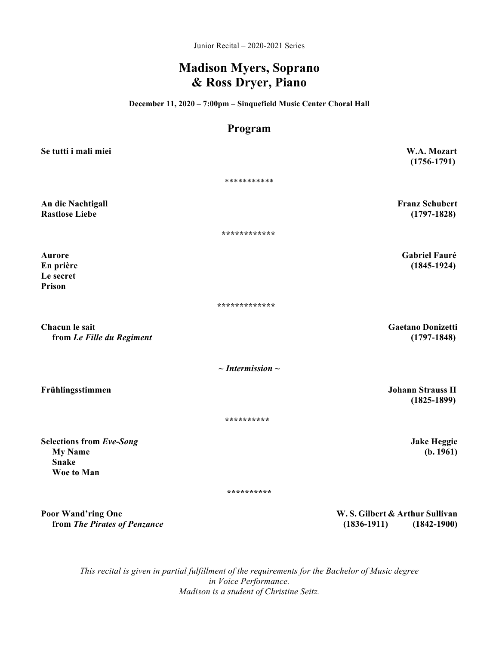Junior Recital – 2020-2021 Series

## **Madison Myers, Soprano & Ross Dryer, Piano**

**December 11, 2020 – 7:00pm – Sinquefield Music Center Choral Hall**

# **Program**

| Se tutti i mali miei                                                            | W.A. Mozart<br>$(1756 - 1791)$                                     |
|---------------------------------------------------------------------------------|--------------------------------------------------------------------|
|                                                                                 | ***********                                                        |
| An die Nachtigall<br><b>Rastlose Liebe</b>                                      | <b>Franz Schubert</b><br>$(1797-1828)$                             |
|                                                                                 | ************                                                       |
| <b>Aurore</b><br>En prière<br>Le secret<br>Prison                               | <b>Gabriel Fauré</b><br>$(1845-1924)$                              |
|                                                                                 | *************                                                      |
| Chacun le sait<br>from Le Fille du Regiment                                     | <b>Gaetano Donizetti</b><br>$(1797-1848)$                          |
|                                                                                 | $\sim$ Intermission $\sim$                                         |
| Frühlingsstimmen                                                                | <b>Johann Strauss II</b><br>$(1825-1899)$                          |
|                                                                                 | **********                                                         |
| <b>Selections from Eve-Song</b><br><b>My Name</b><br><b>Snake</b><br>Woe to Man | <b>Jake Heggie</b><br>(b. 1961)                                    |
|                                                                                 | **********                                                         |
| <b>Poor Wand'ring One</b><br>from The Pirates of Penzance                       | W.S. Gilbert & Arthur Sullivan<br>$(1836-1911)$<br>$(1842 - 1900)$ |

*This recital is given in partial fulfillment of the requirements for the Bachelor of Music degree in Voice Performance. Madison is a student of Christine Seitz.*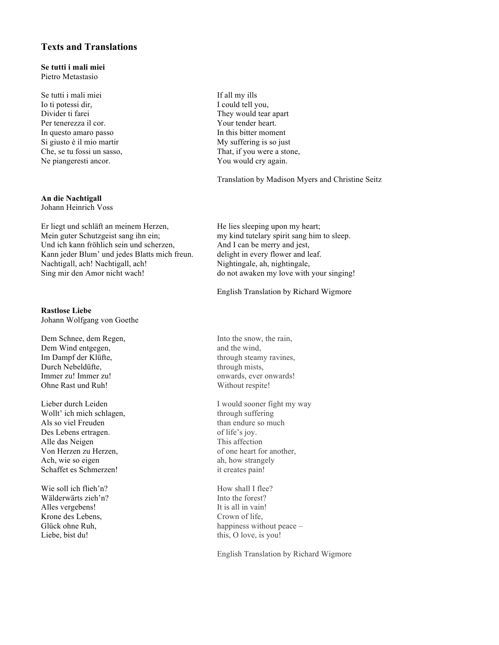### **Texts and Translations**

#### **Se tutti i mali miei** Pietro Metastasio

Se tutti i mali miei If all my ills Io ti potessi dir, I could tell you, Divider ti farei They would tear apart Per tenerezza il cor. Your tender heart. In questo amaro passo In this bitter moment Si giusto è il mio martir My suffering is so just Ne piangeresti ancor. You would cry again.

## **An die Nachtigall**

Johann Heinrich Voss

Er liegt und schläft an meinem Herzen, He lies sleeping upon my heart; Mein guter Schutzgeist sang ihn ein; my kind tutelary spirit sang him to sleep. Und ich kann fröhlich sein und scherzen, And I can be merry and jest, Kann jeder Blum' und jedes Blatts mich freun. delight in every flower and leaf. Nachtigall, ach! Nachtigall, ach! Nightingale, ah, nightingale, Sing mir den Amor nicht wach! do not awaken my love with your singing!

### **Rastlose Liebe**

Johann Wolfgang von Goethe

Dem Schnee, dem Regen, Into the snow, the rain, Dem Wind entgegen, and the wind, Im Dampf der Klüfte, through steamy ravines, Durch Nebeldüfte, through mists, Immer zu! Immer zu! Ohne Rast und Ruh! Without respite!

Wollt' ich mich schlagen, through suffering Als so viel Freuden than endure so much than endure so much Des Lebens ertragen.  $\omega$  of life's joy. Alle das Neigen This affection Von Herzen zu Herzen, of one heart for another, Ach, wie so eigen ah, how strangely Schaffet es Schmerzen! it creates pain!

Wie soll ich flieh'n? How shall I flee? Wälderwärts zieh'n? Into the forest? Alles vergebens! It is all in vain! Krone des Lebens, Crown of life, Liebe, bist du! this, O love, is you!

Che, se tu fossi un sasso, That, if you were a stone,

Translation by Madison Myers and Christine Seitz

English Translation by Richard Wigmore

Lieber durch Leiden I would sooner fight my way

Glück ohne Ruh, happiness without peace –

English Translation by Richard Wigmore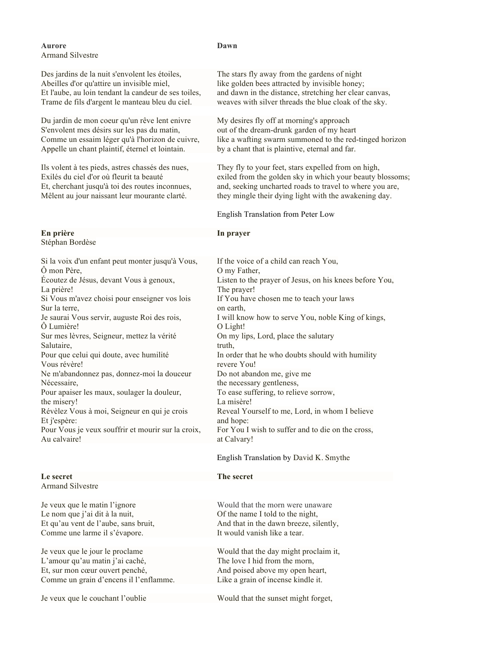| Aurore<br><b>Armand Silvestre</b>                    | Dawn                                                      |
|------------------------------------------------------|-----------------------------------------------------------|
| Des jardins de la nuit s'envolent les étoiles,       | The stars fly away from the gardens of night              |
| Abeilles d'or qu'attire un invisible miel,           | like golden bees attracted by invisible honey;            |
| Et l'aube, au loin tendant la candeur de ses toiles, | and dawn in the distance, stretching her clear canvas,    |
| Trame de fils d'argent le manteau bleu du ciel.      | weaves with silver threads the blue cloak of the sky.     |
| Du jardin de mon coeur qu'un rêve lent enivre        | My desires fly off at morning's approach                  |
| S'envolent mes désirs sur les pas du matin,          | out of the dream-drunk garden of my heart                 |
| Comme un essaim léger qu'à l'horizon de cuivre,      | like a wafting swarm summoned to the red-tinged horizon   |
| Appelle un chant plaintif, éternel et lointain.      | by a chant that is plaintive, eternal and far.            |
| Ils volent à tes pieds, astres chassés des nues,     | They fly to your feet, stars expelled from on high,       |
| Exilés du ciel d'or où fleurit ta beauté             | exiled from the golden sky in which your beauty blossoms; |
| Et, cherchant jusqu'à toi des routes inconnues,      | and, seeking uncharted roads to travel to where you are,  |
| Mêlent au jour naissant leur mourante clarté.        | they mingle their dying light with the awakening day.     |
|                                                      | English Translation from Peter Low                        |
| En prière<br>Stéphan Bordèse                         | In prayer                                                 |
| Si la voix d'un enfant peut monter jusqu'à Vous,     | If the voice of a child can reach You,                    |
| Ô mon Père,                                          | O my Father,                                              |
| Écoutez de Jésus, devant Vous à genoux,              | Listen to the prayer of Jesus, on his knees before You,   |
| La prière!                                           | The prayer!                                               |
| Si Vous m'avez choisi pour enseigner vos lois        | If You have chosen me to teach your laws                  |
| Sur la terre,                                        | on earth,                                                 |
| Je saurai Vous servir, auguste Roi des rois,         | I will know how to serve You, noble King of kings,        |
| Ô Lumière!                                           | O Light!                                                  |
| Sur mes lèvres, Seigneur, mettez la vérité           | On my lips, Lord, place the salutary                      |
| Salutaire,                                           | truth,                                                    |
| Pour que celui qui doute, avec humilité              | In order that he who doubts should with humility          |
| Vous révère!                                         | revere You!                                               |
| Ne m'abandonnez pas, donnez-moi la douceur           | Do not abandon me, give me                                |
| Nécessaire,                                          | the necessary gentleness,                                 |
| Pour apaiser les maux, soulager la douleur,          | To ease suffering, to relieve sorrow,                     |
| the misery!                                          | La misère!                                                |
| Révèlez Vous à moi, Seigneur en qui je crois         | Reveal Yourself to me, Lord, in whom I believe            |
| Et j'espère:                                         | and hope:                                                 |
| Pour Vous je veux souffrir et mourir sur la croix,   | For You I wish to suffer and to die on the cross,         |
| Au calvaire!                                         | at Calvary!                                               |
|                                                      | English Translation by David K. Smythe                    |
| Le secret<br><b>Armand Silvestre</b>                 | The secret                                                |
| Je veux que le matin l'ignore                        | Would that the morn were unaware                          |
| Le nom que j'ai dit à la nuit,                       | Of the name I told to the night,                          |
| Et qu'au vent de l'aube, sans bruit,                 | And that in the dawn breeze, silently,                    |
| Comme une larme il s'évapore.                        | It would vanish like a tear.                              |
| Je veux que le jour le proclame                      | Would that the day might proclaim it,                     |
| L'amour qu'au matin j'ai caché,                      | The love I hid from the morn,                             |
| Et, sur mon cœur ouvert penché,                      | And poised above my open heart,                           |

Comme un grain d'encens il l'enflamme. Like a grain of incense kindle it.

Je veux que le couchant l'oublie Would that the sunset might forget,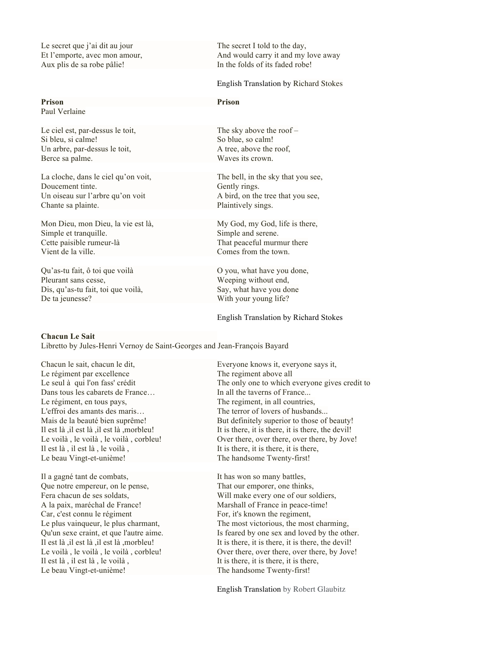Le secret que j'ai dit au jour The secret I told to the day, Aux plis de sa robe pâlie! In the folds of its faded robe!

Paul Verlaine

Si bleu, si calme! So blue, so calm! Un arbre, par-dessus le toit, A tree, above the roof, Berce sa palme. Waves its crown.

La cloche, dans le ciel qu'on voit, The bell, in the sky that you see, Doucement tinte. Gently rings. Un oiseau sur l'arbre qu'on voit  $\overline{A}$  bird, on the tree that you see, Chante sa plainte. Plaintively sings.

Mon Dieu, mon Dieu, la vie est là, My God, my God, life is there, Simple et tranquille. Simple and serene. Cette paisible rumeur-là That peaceful murmur there Vient de la ville. Comes from the town.

Qu'as-tu fait, ô toi que voilà O you, what have you done, Pleurant sans cesse, Weeping without end, Dis, qu'as-tu fait, toi que voilà, Say, what have you done De ta jeunesse? With your young life?

Et l'emporte, avec mon amour, And would carry it and my love away

#### English Translation by Richard Stokes

### **Prison Prison**

Le ciel est, par-dessus le toit, The sky above the roof –

English Translation by Richard Stokes

#### **Chacun Le Sait**

Libretto by Jules-Henri Vernoy de Saint-Georges and Jean-François Bayard

Chacun le sait, chacun le dit, Everyone knows it, everyone says it, Le régiment par excellence The regiment above all Dans tous les cabarets de France...<br>
In all the taverns of France... Le régiment, en tous pays, The regiment, in all countries, L'effroi des amants des maris… The terror of lovers of husbands... Il est là, il est là, le voilà, Il est is there, it is there, it is there, it is there, Le beau Vingt-et-unième! The handsome Twenty-first!

Il a gagné tant de combats, It has won so many battles, Que notre empereur, on le pense, That our emporer, one thinks, Fera chacun de ses soldats, Will make every one of our soldiers, A la paix, maréchal de France! Marshall of France in peace-time! Car, c'est connu le régiment For, it's known the regiment, Il est là, il est là, le voilà, Il est is there, it is there, it is there, it is there, Le beau Vingt-et-unième! The handsome Twenty-first!

Le seul à qui l'on fass' crédit The only one to which everyone gives credit to Mais de la beauté bien suprême! But definitely superior to those of beauty! Il est là ,il est là ,il est là ,morbleu! It is there, it is there, it is there, the devil! Le voilà , le voilà , le voilà , corbleu! Over there, over there, over there, by Jove!

Le plus vainqueur, le plus charmant, The most victorious, the most charming, Qu'un sexe craint, et que l'autre aime. Is feared by one sex and loved by the other. Il est là ,il est là ,morbleu! It is there, it is there, it is there, the devil! Le voilà, le voilà, le voilà, corbleu! Over there, over there, over there, by Jove!

English Translation by Robert Glaubitz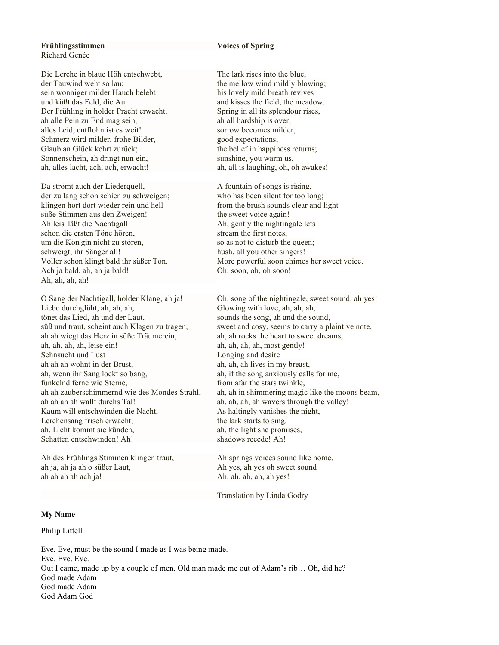#### **Frühlingsstimmen Voices of Spring** Richard Genée

Die Lerche in blaue Höh entschwebt, The lark rises into the blue, der Tauwind weht so lau; the mellow wind mildly blowing; sein wonniger milder Hauch belebt his lovely mild breath revives und küßt das Feld, die Au. and kisses the field, the meadow. Der Frühling in holder Pracht erwacht, Spring in all its splendour rises, ah alle Pein zu End mag sein, ah all hardship is over, alles Leid, entflohn ist es weit! sorrow becomes milder, Schmerz wird milder, frohe Bilder, speed expectations, Glaub an Glück kehrt zurück; the belief in happiness returns; Sonnenschein, ah dringt nun ein, sunshine, you warm us, ah, alles lacht, ach, ach, erwacht! ah, all is laughing, oh, oh awakes!

Da strömt auch der Liederquell, A fountain of songs is rising, der zu lang schon schien zu schweigen; who has been silent for too long; klingen hört dort wieder rein und hell from the brush sounds clear and light süße Stimmen aus den Zweigen! the sweet voice again! Ah leis' läßt die Nachtigall Ah, gently the nightingale lets schon die ersten Töne hören, stream the first notes, um die Kön'gin nicht zu stören, so as not to disturb the queen; schweigt, ihr Sänger all! hush, all you other singers! Ach ja bald, ah, ah ja bald! Oh, soon, oh, oh soon! Ah, ah, ah, ah!

Liebe durchglüht, ah, ah, ah, ah, ah, Glowing with love, ah, ah, ah, tönet das Lied, ah und der Laut, sounds the song, ah and the sound, ah ah wiegt das Herz in süße Träumerein, ah, ah rocks the heart to sweet dreams, ah, ah, ah, ah, leise ein! ah, ah, ah, ah, ah, most gently! Sehnsucht und Lust Longing and desire ah ah ah wohnt in der Brust, ah, ah, ah lives in my breast, ah, wenn ihr Sang lockt so bang, ah, if the song anxiously calls for me, funkelnd ferne wie Sterne, from a far the stars twinkle, ah ah ah ah wallt durchs Tal! ah, ah, ah, ah wavers through the valley! Kaum will entschwinden die Nacht, As haltingly vanishes the night, Lerchensang frisch erwacht, the lark starts to sing, ah, Licht kommt sie künden, ah, the light she promises, Schatten entschwinden! Ah! shadows recede! Ah!

Ah des Frühlings Stimmen klingen traut, Ah springs voices sound like home, ah ja, ah ja ah o süßer Laut, Ah yes, ah yes oh sweet sound ah ah ah ach ja! Ah, ah, ah, ah, ah yes!

Voller schon klingt bald ihr süßer Ton. More powerful soon chimes her sweet voice.

O Sang der Nachtigall, holder Klang, ah ja! Oh, song of the nightingale, sweet sound, ah yes! süß und traut, scheint auch Klagen zu tragen, sweet and cosy, seems to carry a plaintive note, ah ah zauberschimmernd wie des Mondes Strahl, ah, ah in shimmering magic like the moons beam,

Translation by Linda Godry

#### **My Name**

#### Philip Littell

Eve, Eve, must be the sound I made as I was being made. Eve. Eve. Eve. Out I came, made up by a couple of men. Old man made me out of Adam's rib… Oh, did he? God made Adam God made Adam God Adam God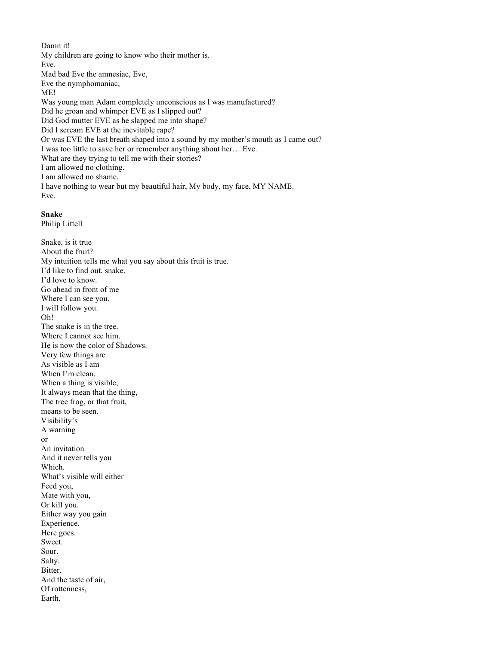Damn it! My children are going to know who their mother is. Eve. Mad bad Eve the amnesiac, Eve, Eve the nymphomaniac, ME! Was young man Adam completely unconscious as I was manufactured? Did he groan and whimper EVE as I slipped out? Did God mutter EVE as he slapped me into shape? Did I scream EVE at the inevitable rape? Or was EVE the last breath shaped into a sound by my mother's mouth as I came out? I was too little to save her or remember anything about her… Eve. What are they trying to tell me with their stories? I am allowed no clothing. I am allowed no shame. I have nothing to wear but my beautiful hair, My body, my face, MY NAME. Eve.

### **Snake**

Philip Littell

Snake, is it true About the fruit? My intuition tells me what you say about this fruit is true. I'd like to find out, snake. I'd love to know. Go ahead in front of me Where I can see you. I will follow you. Oh! The snake is in the tree. Where I cannot see him. He is now the color of Shadows. Very few things are As visible as I am When I'm clean. When a thing is visible, It always mean that the thing, The tree frog, or that fruit, means to be seen. Visibility's A warning or An invitation And it never tells you Which. What's visible will either Feed you, Mate with you, Or kill you. Either way you gain Experience. Here goes. Sweet. Sour. Salty. Bitter. And the taste of air, Of rottenness, Earth,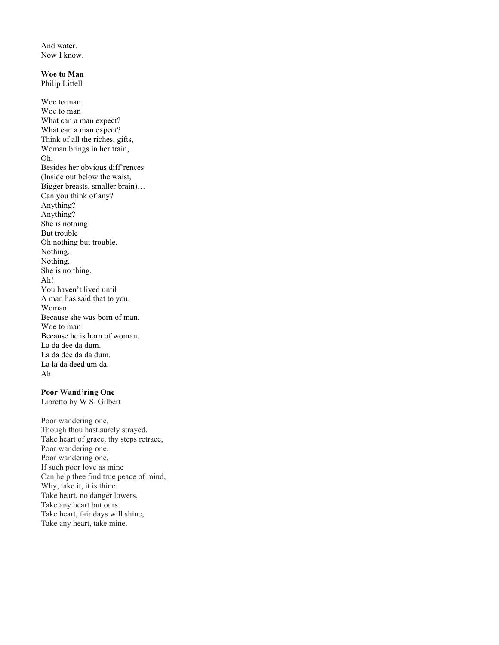And water. Now I know.

#### **Woe to Man**

Philip Littell

Woe to man Woe to man What can a man expect? What can a man expect? Think of all the riches, gifts, Woman brings in her train, Oh, Besides her obvious diff'rences (Inside out below the waist, Bigger breasts, smaller brain)… Can you think of any? Anything? Anything? She is nothing But trouble Oh nothing but trouble. Nothing. Nothing. She is no thing. Ah! You haven't lived until A man has said that to you. Woman Because she was born of man. Woe to man Because he is born of woman. La da dee da dum. La da dee da da dum. La la da deed um da. Ah.

### **Poor Wand'ring One**

Libretto by W S. Gilbert

Poor wandering one, Though thou hast surely strayed, Take heart of grace, thy steps retrace, Poor wandering one. Poor wandering one, If such poor love as mine Can help thee find true peace of mind, Why, take it, it is thine. Take heart, no danger lowers, Take any heart but ours. Take heart, fair days will shine, Take any heart, take mine.